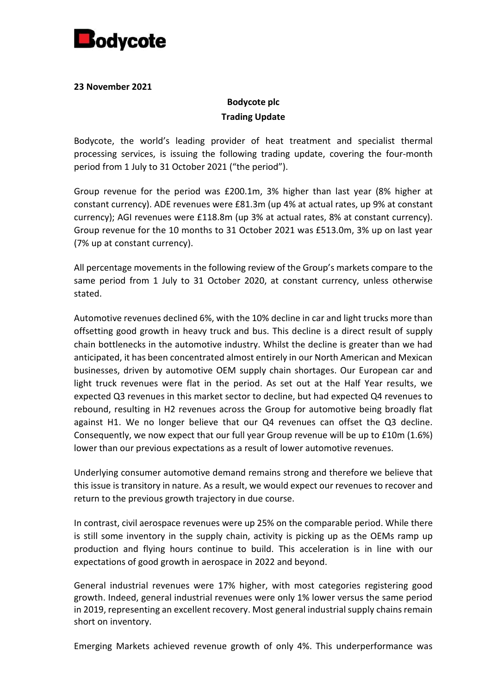

#### **23 November 2021**

# **Bodycote plc Trading Update**

Bodycote, the world's leading provider of heat treatment and specialist thermal processing services, is issuing the following trading update, covering the four-month period from 1 July to 31 October 2021 ("the period").

Group revenue for the period was £200.1m, 3% higher than last year (8% higher at constant currency). ADE revenues were £81.3m (up 4% at actual rates, up 9% at constant currency); AGI revenues were £118.8m (up 3% at actual rates, 8% at constant currency). Group revenue for the 10 months to 31 October 2021 was £513.0m, 3% up on last year (7% up at constant currency).

All percentage movements in the following review of the Group's markets compare to the same period from 1 July to 31 October 2020, at constant currency, unless otherwise stated.

Automotive revenues declined 6%, with the 10% decline in car and light trucks more than offsetting good growth in heavy truck and bus. This decline is a direct result of supply chain bottlenecks in the automotive industry. Whilst the decline is greater than we had anticipated, it has been concentrated almost entirely in our North American and Mexican businesses, driven by automotive OEM supply chain shortages. Our European car and light truck revenues were flat in the period. As set out at the Half Year results, we expected Q3 revenues in this market sector to decline, but had expected Q4 revenues to rebound, resulting in H2 revenues across the Group for automotive being broadly flat against H1. We no longer believe that our Q4 revenues can offset the Q3 decline. Consequently, we now expect that our full year Group revenue will be up to £10m (1.6%) lower than our previous expectations as a result of lower automotive revenues.

Underlying consumer automotive demand remains strong and therefore we believe that this issue is transitory in nature. As a result, we would expect our revenues to recover and return to the previous growth trajectory in due course.

In contrast, civil aerospace revenues were up 25% on the comparable period. While there is still some inventory in the supply chain, activity is picking up as the OEMs ramp up production and flying hours continue to build. This acceleration is in line with our expectations of good growth in aerospace in 2022 and beyond.

General industrial revenues were 17% higher, with most categories registering good growth. Indeed, general industrial revenues were only 1% lower versus the same period in 2019, representing an excellent recovery. Most general industrial supply chains remain short on inventory.

Emerging Markets achieved revenue growth of only 4%. This underperformance was